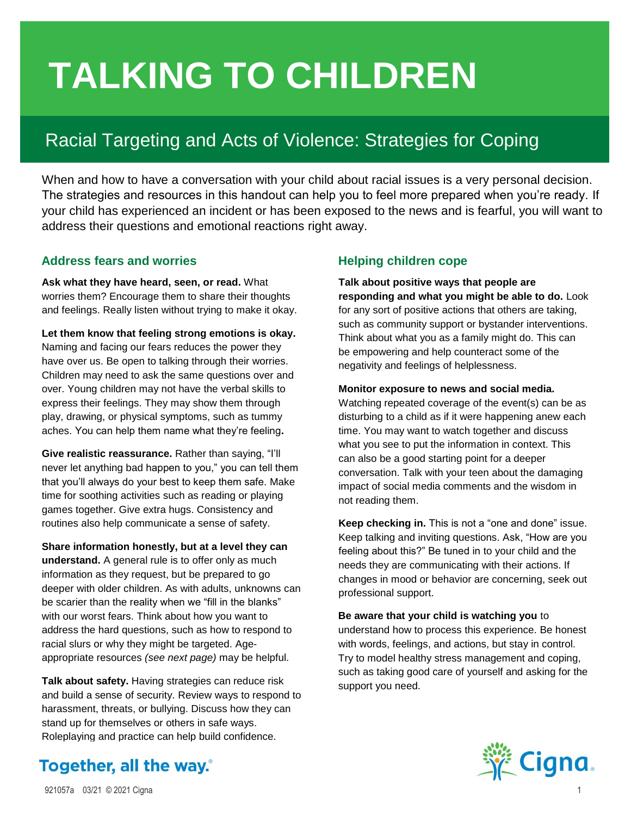# **TALKING TO CHILDREN**

# Racial Targeting and Acts of Violence: Strategies for Coping

When and how to have a conversation with your child about racial issues is a very personal decision. The strategies and resources in this handout can help you to feel more prepared when you're ready. If your child has experienced an incident or has been exposed to the news and is fearful, you will want to address their questions and emotional reactions right away.

## **Address fears and worries**

**Ask what they have heard, seen, or read.** What worries them? Encourage them to share their thoughts and feelings. Really listen without trying to make it okay.

**Let them know that feeling strong emotions is okay.** Naming and facing our fears reduces the power they have over us. Be open to talking through their worries. Children may need to ask the same questions over and over. Young children may not have the verbal skills to express their feelings. They may show them through play, drawing, or physical symptoms, such as tummy aches. You can help them name what they're feeling**.**

**Give realistic reassurance.** Rather than saying, "I'll never let anything bad happen to you," you can tell them that you'll always do your best to keep them safe. Make time for soothing activities such as reading or playing games together. Give extra hugs. Consistency and routines also help communicate a sense of safety.

**Share information honestly, but at a level they can understand.** A general rule is to offer only as much information as they request, but be prepared to go deeper with older children. As with adults, unknowns can be scarier than the reality when we "fill in the blanks" with our worst fears. Think about how you want to address the hard questions, such as how to respond to racial slurs or why they might be targeted. Ageappropriate resources *(see next page)* may be helpful.

**Talk about safety.** Having strategies can reduce risk and build a sense of security. Review ways to respond to harassment, threats, or bullying. Discuss how they can stand up for themselves or others in safe ways. Roleplaying and practice can help build confidence.

## **Helping children cope**

**Talk about positive ways that people are responding and what you might be able to do.** Look for any sort of positive actions that others are taking, such as community support or bystander interventions. Think about what you as a family might do. This can be empowering and help counteract some of the negativity and feelings of helplessness.

#### **Monitor exposure to news and social media.**

Watching repeated coverage of the event(s) can be as disturbing to a child as if it were happening anew each time. You may want to watch together and discuss what you see to put the information in context. This can also be a good starting point for a deeper conversation. Talk with your teen about the damaging impact of social media comments and the wisdom in not reading them.

**Keep checking in.** This is not a "one and done" issue. Keep talking and inviting questions. Ask, "How are you feeling about this?" Be tuned in to your child and the needs they are communicating with their actions. If changes in mood or behavior are concerning, seek out professional support.

**Be aware that your child is watching you** to understand how to process this experience. Be honest with words, feelings, and actions, but stay in control. Try to model healthy stress management and coping, such as taking good care of yourself and asking for the support you need.



# **Together, all the way.**<sup>®</sup>

921057a 03/21 © 2021 Cigna 1